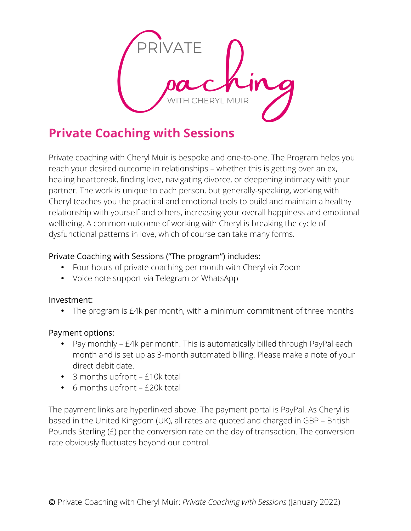

# **Private Coaching with Sessions**

Private coaching with Cheryl Muir is bespoke and one-to-one. The Program helps you reach your desired outcome in relationships – whether this is getting over an ex, healing heartbreak, finding love, navigating divorce, or deepening intimacy with your partner. The work is unique to each person, but generally-speaking, working with Cheryl teaches you the practical and emotional tools to build and maintain a healthy relationship with yourself and others, increasing your overall happiness and emotional wellbeing. A common outcome of working with Cheryl is breaking the cycle of dysfunctional patterns in love, which of course can take many forms.

### Private Coaching with Sessions ("The program") includes:

- Four hours of private coaching per month with Cheryl via Zoom
- Voice note support via Telegram or WhatsApp

#### Investment:

• The program is £4k per month, with a minimum commitment of three months

### Payment options:

- Pay monthly £4k per month. This is automatically billed through PayPal each month and is set up as 3-month automated billing. Please make a note of your direct debit date.
- 3 months upfront £10k total
- 6 months upfront £20k total

The payment links are hyperlinked above. The payment portal is PayPal. As Cheryl is based in the United Kingdom (UK), all rates are quoted and charged in GBP – British Pounds Sterling (£) per the conversion rate on the day of transaction. The conversion rate obviously fluctuates beyond our control.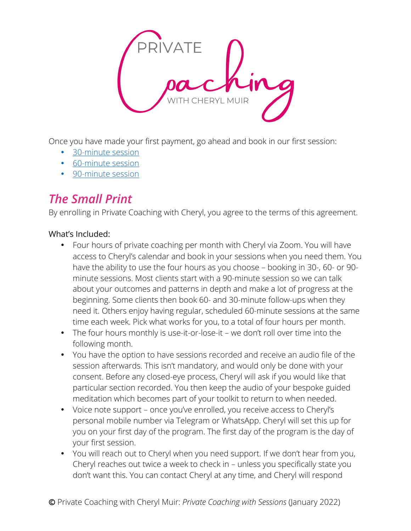

Once you have made your first payment, go ahead and book in our first session:

- 30-minute session
- 60-minute session
- 90-minute session

# *The Small Print*

By enrolling in Private Coaching with Cheryl, you agree to the terms of this agreement.

## What's Included:

- Four hours of private coaching per month with Cheryl via Zoom. You will have access to Cheryl's calendar and book in your sessions when you need them. You have the ability to use the four hours as you choose – booking in 30-, 60- or 90 minute sessions. Most clients start with a 90-minute session so we can talk about your outcomes and patterns in depth and make a lot of progress at the beginning. Some clients then book 60- and 30-minute follow-ups when they need it. Others enjoy having regular, scheduled 60-minute sessions at the same time each week. Pick what works for you, to a total of four hours per month.
- The four hours monthly is use-it-or-lose-it we don't roll over time into the following month.
- You have the option to have sessions recorded and receive an audio file of the session afterwards. This isn't mandatory, and would only be done with your consent. Before any closed-eye process, Cheryl will ask if you would like that particular section recorded. You then keep the audio of your bespoke guided meditation which becomes part of your toolkit to return to when needed.
- Voice note support once you've enrolled, you receive access to Cheryl's personal mobile number via Telegram or WhatsApp. Cheryl will set this up for you on your first day of the program. The first day of the program is the day of your first session.
- You will reach out to Cheryl when you need support. If we don't hear from you, Cheryl reaches out twice a week to check in – unless you specifically state you don't want this. You can contact Cheryl at any time, and Cheryl will respond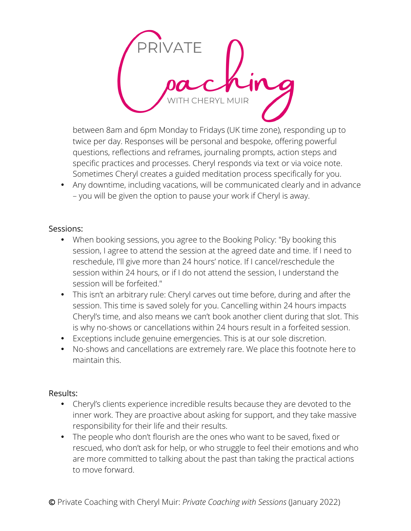

between 8am and 6pm Monday to Fridays (UK time zone), responding up to twice per day. Responses will be personal and bespoke, offering powerful questions, reflections and reframes, journaling prompts, action steps and specific practices and processes. Cheryl responds via text or via voice note. Sometimes Cheryl creates a guided meditation process specifically for you.

• Any downtime, including vacations, will be communicated clearly and in advance – you will be given the option to pause your work if Cheryl is away.

#### Sessions:

- When booking sessions, you agree to the Booking Policy: "By booking this session, I agree to attend the session at the agreed date and time. If I need to reschedule, I'll give more than 24 hours' notice. If I cancel/reschedule the session within 24 hours, or if I do not attend the session, I understand the session will be forfeited."
- This isn't an arbitrary rule: Cheryl carves out time before, during and after the session. This time is saved solely for you. Cancelling within 24 hours impacts Cheryl's time, and also means we can't book another client during that slot. This is why no-shows or cancellations within 24 hours result in a forfeited session.
- Exceptions include genuine emergencies. This is at our sole discretion.
- No-shows and cancellations are extremely rare. We place this footnote here to maintain this.

### Results:

- Cheryl's clients experience incredible results because they are devoted to the inner work. They are proactive about asking for support, and they take massive responsibility for their life and their results.
- The people who don't flourish are the ones who want to be saved, fixed or rescued, who don't ask for help, or who struggle to feel their emotions and who are more committed to talking about the past than taking the practical actions to move forward.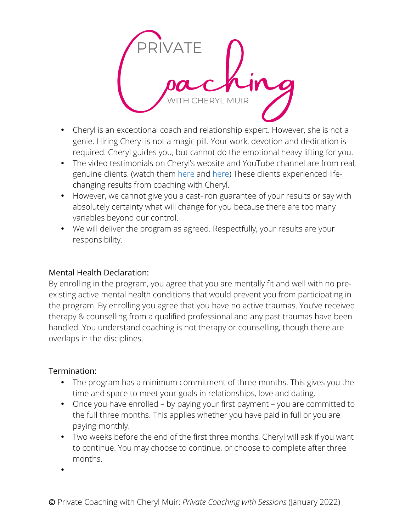

- Cheryl is an exceptional coach and relationship expert. However, she is not a genie. Hiring Cheryl is not a magic pill. Your work, devotion and dedication is required. Cheryl guides you, but cannot do the emotional heavy lifting for you.
- The video testimonials on Cheryl's website and YouTube channel are from real, genuine clients. (watch them here and here) These clients experienced lifechanging results from coaching with Cheryl.
- However, we cannot give you a cast-iron guarantee of your results or say with absolutely certainty what will change for you because there are too many variables beyond our control.
- We will deliver the program as agreed. Respectfully, your results are your responsibility.

### Mental Health Declaration:

By enrolling in the program, you agree that you are mentally fit and well with no preexisting active mental health conditions that would prevent you from participating in the program. By enrolling you agree that you have no active traumas. You've received therapy & counselling from a qualified professional and any past traumas have been handled. You understand coaching is not therapy or counselling, though there are overlaps in the disciplines.

### Termination:

- The program has a minimum commitment of three months. This gives you the time and space to meet your goals in relationships, love and dating.
- Once you have enrolled by paying your first payment you are committed to the full three months. This applies whether you have paid in full or you are paying monthly.
- Two weeks before the end of the first three months, Cheryl will ask if you want to continue. You may choose to continue, or choose to complete after three months.

•